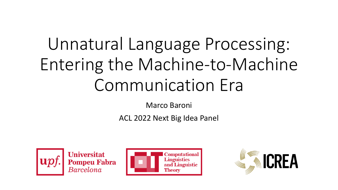# Unnatural Language Processing: Entering the Machine-to-Machine Communication Era

Marco Baroni

ACL 2022 Next Big Idea Panel



**Universitat Pompeu Fabra**<br>Barcelona



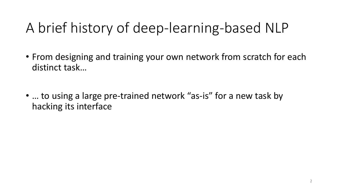### A brief history of deep-learning-based NLP

- From designing and training your own network from scratch for each distinct task…
- ... to using a large pre-trained network "as-is" for a new task by hacking its interface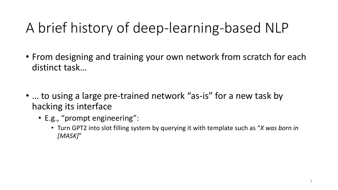### A brief history of deep-learning-based NLP

- From designing and training your own network from scratch for each distinct task…
- ... to using a large pre-trained network "as-is" for a new task by hacking its interface
	- E.g., "prompt engineering":
		- Turn GPT2 into slot filling system by querying it with template such as "*X was born in [MASK]*"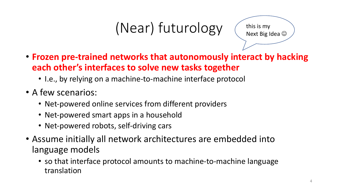## (Near) futurology



- **Frozen pre-trained networks that autonomously interact by hacking each other's interfaces to solve new tasks together**
	- I.e., by relying on a machine-to-machine interface protocol
- A few scenarios:
	- Net-powered online services from different providers
	- Net-powered smart apps in a household
	- Net-powered robots, self-driving cars
- Assume initially all network architectures are embedded into language models
	- so that interface protocol amounts to machine-to-machine language translation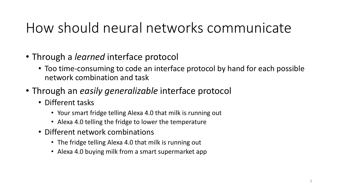#### How should neural networks communicate

- Through a *learned* interface protocol
	- Too time-consuming to code an interface protocol by hand for each possible network combination and task
- Through an *easily generalizable* interface protocol
	- Different tasks
		- Your smart fridge telling Alexa 4.0 that milk is running out
		- Alexa 4.0 telling the fridge to lower the temperature
	- Different network combinations
		- The fridge telling Alexa 4.0 that milk is running out
		- Alexa 4.0 buying milk from a smart supermarket app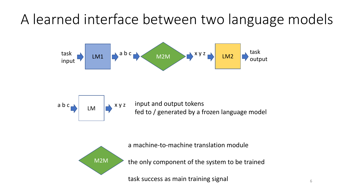#### A learned interface between two language models





 $\begin{array}{|c|c|c|c|c|}\n\hline\n\text{a b c} & \text{LM} & \text{a y z} & \text{input and output tokens} \\
\hline\n\end{array}$ fed to / generated by a frozen language model



a machine-to-machine translation module

the only component of the system to be trained

task success as main training signal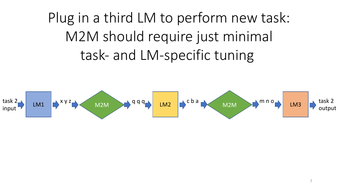Plug in a third LM to perform new task: M2M should require just minimal task- and LM-specific tuning

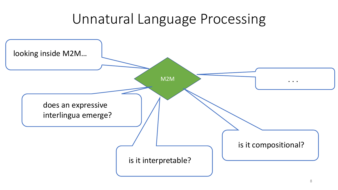#### Unnatural Language Processing

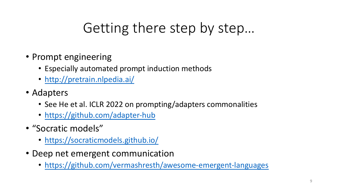### [Getting ther](https://github.com/adapter-hub)e step by

- P[rompt engineering](https://socraticmodels.github.io/)
	- Especially automated prompt induction methods
	- [http://pretrain.nlpedia.ai/](https://github.com/vermashresth/awesome-emergent-languages)
- Adapters
	- See He et al. ICLR 2022 on prompting/adapters common
	- https://github.com/adapter-hub
- "Socratic models"
	- https://socraticmodels.github.io/
- Deep net emergent communication
	- https://github.com/vermashresth/awesome-emer